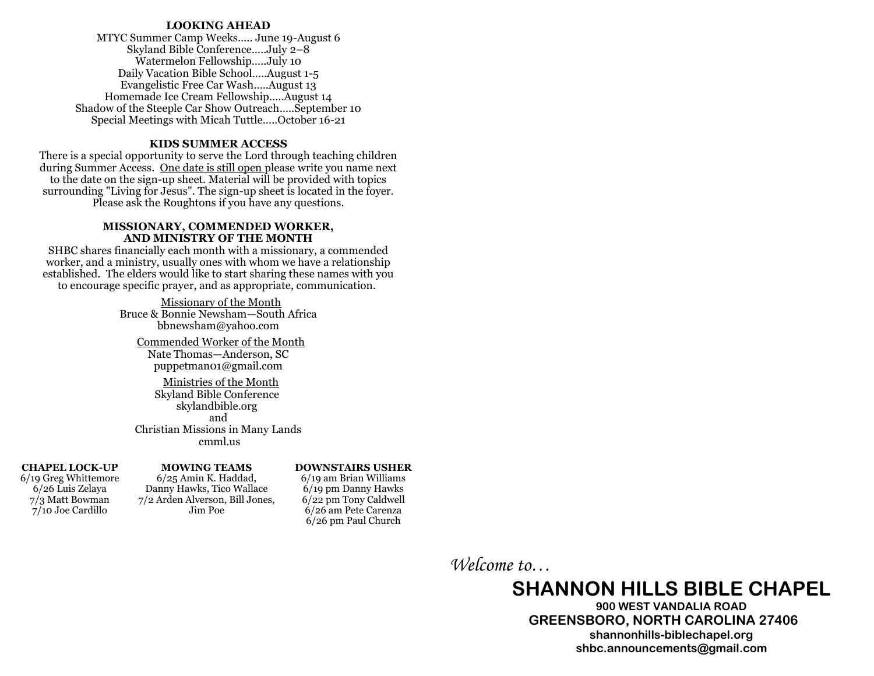#### **LOOKING AHEAD**

MTYC Summer Camp Weeks….. June 19-August 6 Skyland Bible Conference…..July 2–8 Watermelon Fellowship…..July 10 Daily Vacation Bible School…..August 1-5 Evangelistic Free Car Wash…..August 13 Homemade Ice Cream Fellowship…..August 14 Shadow of the Steeple Car Show Outreach…..September 10 Special Meetings with Micah Tuttle…..October 16-21

#### **KIDS SUMMER ACCESS**

There is a special opportunity to serve the Lord through teaching children during Summer Access. One date is still open please write you name next to the date on the sign-up sheet. Material will be provided with topics surrounding "Living for Jesus". The sign-up sheet is located in the fover. Please ask the Roughtons if you have any questions.

#### **MISSIONARY, COMMENDED WORKER, AND MINISTRY OF THE MONTH**

SHBC shares financially each month with a missionary, a commended worker, and a ministry, usually ones with whom we have a relationship established. The elders would like to start sharing these names with you to encourage specific prayer, and as appropriate, communication.

> Missionary of the Month Bruce & Bonnie Newsham—South Africa bbnewsham@yahoo.com

Commended Worker of the Month Nate Thomas—Anderson, SC puppetman01@gmail.com

Ministries of the Month Skyland Bible Conference skylandbible.org and Christian Missions in Many Lands cmml.us

#### **CHAPEL LOCK-UP**

6/19 Greg Whittemore 6/26 Luis Zelaya 7/3 Matt Bowman 7/10 Joe Cardillo

#### **MOWING TEAMS** 6/25 Amin K. Haddad, Danny Hawks, Tico Wallace

Jim Poe

#### **DOWNSTAIRS USHER**

6/19 am Brian Williams 6/19 pm Danny Hawks 6/22 pm Tony Caldwell 6/26 am Pete Carenza 6/26 pm Paul Church 7/2 Arden Alverson, Bill Jones,

*Welcome to…*

# **SHANNON HILLS BIBLE CHAPEL**

**900 WEST VANDALIA ROAD GREENSBORO, NORTH CAROLINA 27406 shannonhills-biblechapel.org shbc.announcements@gmail.com**